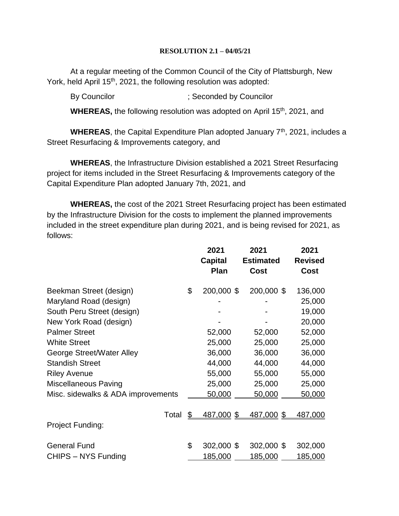### **RESOLUTION 2.1 – 04/05/21**

At a regular meeting of the Common Council of the City of Plattsburgh, New York, held April 15<sup>th</sup>, 2021, the following resolution was adopted:

By Councilor (3) Seconded by Councilor

**WHEREAS, the following resolution was adopted on April 15<sup>th</sup>, 2021, and** 

**WHEREAS**, the Capital Expenditure Plan adopted January 7<sup>th</sup>, 2021, includes a Street Resurfacing & Improvements category, and

**WHEREAS**, the Infrastructure Division established a 2021 Street Resurfacing project for items included in the Street Resurfacing & Improvements category of the Capital Expenditure Plan adopted January 7th, 2021, and

**WHEREAS,** the cost of the 2021 Street Resurfacing project has been estimated by the Infrastructure Division for the costs to implement the planned improvements included in the street expenditure plan during 2021, and is being revised for 2021, as follows:

|                                    |                | 2021<br><b>Capital</b><br>Plan | 2021<br><b>Estimated</b><br><b>Cost</b> | 2021<br><b>Revised</b><br><b>Cost</b> |
|------------------------------------|----------------|--------------------------------|-----------------------------------------|---------------------------------------|
| Beekman Street (design)            | \$             | 200,000 \$                     | 200,000 \$                              | 136,000                               |
| Maryland Road (design)             |                |                                |                                         | 25,000                                |
| South Peru Street (design)         |                |                                |                                         | 19,000                                |
| New York Road (design)             |                |                                |                                         | 20,000                                |
| <b>Palmer Street</b>               |                | 52,000                         | 52,000                                  | 52,000                                |
| <b>White Street</b>                |                | 25,000                         | 25,000                                  | 25,000                                |
| George Street/Water Alley          |                | 36,000                         | 36,000                                  | 36,000                                |
| <b>Standish Street</b>             |                | 44,000                         | 44,000                                  | 44,000                                |
| <b>Riley Avenue</b>                |                | 55,000                         | 55,000                                  | 55,000                                |
| <b>Miscellaneous Paving</b>        |                | 25,000                         | 25,000                                  | 25,000                                |
| Misc. sidewalks & ADA improvements |                | 50,000                         | 50,000                                  | 50,000                                |
| Total                              | $\mathfrak{S}$ | 487,000 \$                     | 487,000 \$                              | 487,000                               |
| Project Funding:                   |                |                                |                                         |                                       |
| <b>General Fund</b>                | \$             | 302,000 \$                     | 302,000 \$                              | 302,000                               |
| CHIPS - NYS Funding                |                | 185,000                        | 185,000                                 | 185,000                               |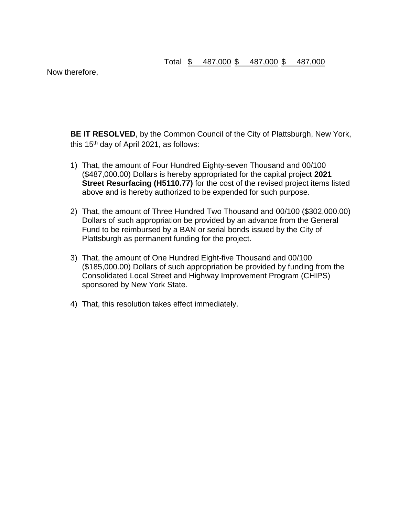Now therefore,

**BE IT RESOLVED**, by the Common Council of the City of Plattsburgh, New York, this  $15<sup>th</sup>$  day of April 2021, as follows:

- 1) That, the amount of Four Hundred Eighty-seven Thousand and 00/100 (\$487,000.00) Dollars is hereby appropriated for the capital project **2021 Street Resurfacing (H5110.77)** for the cost of the revised project items listed above and is hereby authorized to be expended for such purpose.
- 2) That, the amount of Three Hundred Two Thousand and 00/100 (\$302,000.00) Dollars of such appropriation be provided by an advance from the General Fund to be reimbursed by a BAN or serial bonds issued by the City of Plattsburgh as permanent funding for the project.
- 3) That, the amount of One Hundred Eight-five Thousand and 00/100 (\$185,000.00) Dollars of such appropriation be provided by funding from the Consolidated Local Street and Highway Improvement Program (CHIPS) sponsored by New York State.
- 4) That, this resolution takes effect immediately.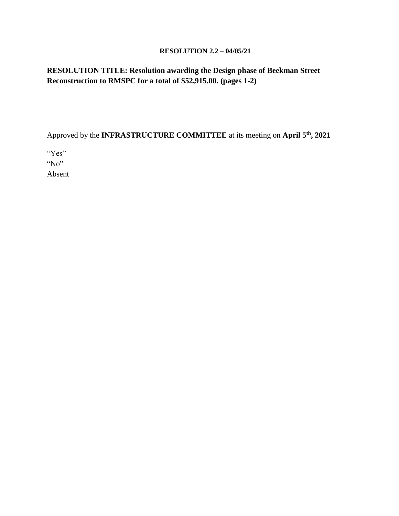### **RESOLUTION 2.2 – 04/05/21**

# **RESOLUTION TITLE: Resolution awarding the Design phase of Beekman Street Reconstruction to RMSPC for a total of \$52,915.00. (pages 1-2)**

Approved by the **INFRASTRUCTURE COMMITTEE** at its meeting on **April 5th, 2021**

"Yes" "No"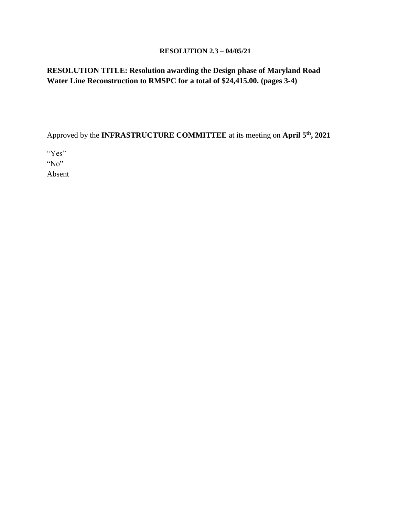### **RESOLUTION 2.3 – 04/05/21**

# **RESOLUTION TITLE: Resolution awarding the Design phase of Maryland Road Water Line Reconstruction to RMSPC for a total of \$24,415.00. (pages 3-4)**

Approved by the **INFRASTRUCTURE COMMITTEE** at its meeting on **April 5th, 2021**

"Yes" "No"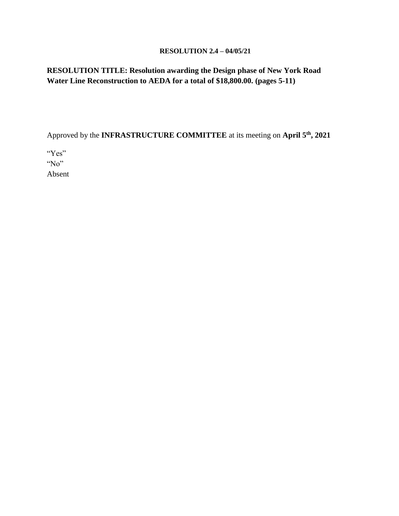### **RESOLUTION 2.4 – 04/05/21**

# **RESOLUTION TITLE: Resolution awarding the Design phase of New York Road Water Line Reconstruction to AEDA for a total of \$18,800.00. (pages 5-11)**

Approved by the **INFRASTRUCTURE COMMITTEE** at its meeting on **April 5th, 2021**

"Yes" "No"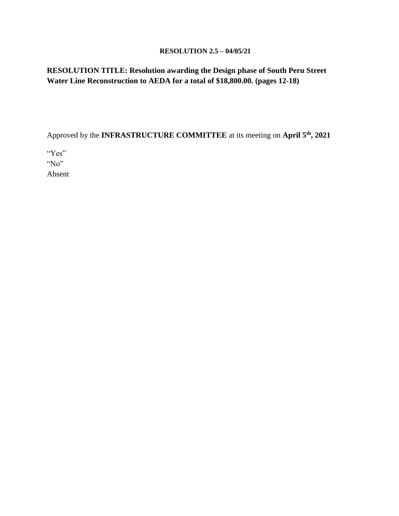### **RESOLUTION 2.5 – 04/05/21**

# **RESOLUTION TITLE: Resolution awarding the Design phase of South Peru Street Water Line Reconstruction to AEDA for a total of \$18,800.00. (pages 12-18)**

Approved by the **INFRASTRUCTURE COMMITTEE** at its meeting on **April 5th, 2021**

"Yes" "No"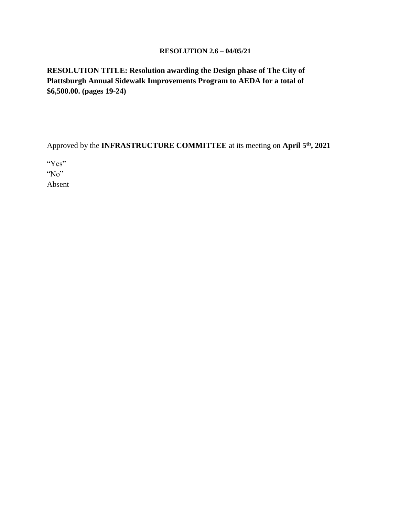### **RESOLUTION 2.6 – 04/05/21**

**RESOLUTION TITLE: Resolution awarding the Design phase of The City of Plattsburgh Annual Sidewalk Improvements Program to AEDA for a total of \$6,500.00. (pages 19-24)**

Approved by the **INFRASTRUCTURE COMMITTEE** at its meeting on **April 5th, 2021**

"Yes"

"No"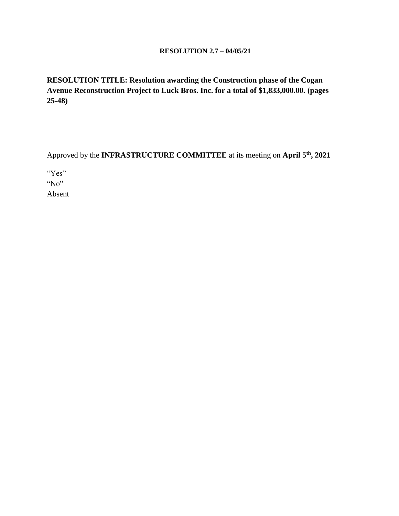### **RESOLUTION 2.7 – 04/05/21**

**RESOLUTION TITLE: Resolution awarding the Construction phase of the Cogan Avenue Reconstruction Project to Luck Bros. Inc. for a total of \$1,833,000.00. (pages 25-48)**

Approved by the **INFRASTRUCTURE COMMITTEE** at its meeting on **April 5th, 2021**

"Yes"

"No"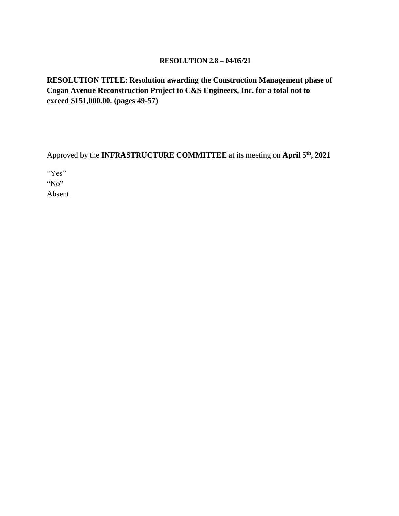### **RESOLUTION 2.8 – 04/05/21**

**RESOLUTION TITLE: Resolution awarding the Construction Management phase of Cogan Avenue Reconstruction Project to C&S Engineers, Inc. for a total not to exceed \$151,000.00. (pages 49-57)**

Approved by the **INFRASTRUCTURE COMMITTEE** at its meeting on **April 5th, 2021**

"Yes" "No"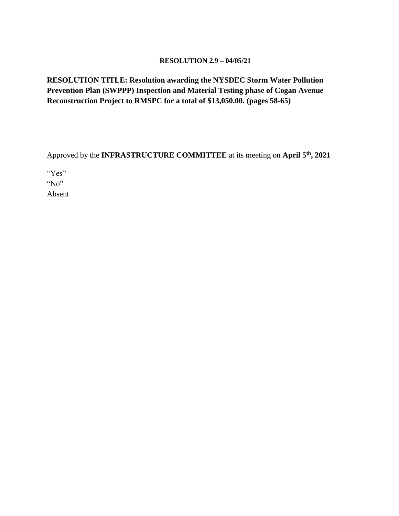### **RESOLUTION 2.9 – 04/05/21**

# **RESOLUTION TITLE: Resolution awarding the NYSDEC Storm Water Pollution Prevention Plan (SWPPP) Inspection and Material Testing phase of Cogan Avenue Reconstruction Project to RMSPC for a total of \$13,050.00. (pages 58-65)**

Approved by the **INFRASTRUCTURE COMMITTEE** at its meeting on **April 5th, 2021**

"Yes"

"No"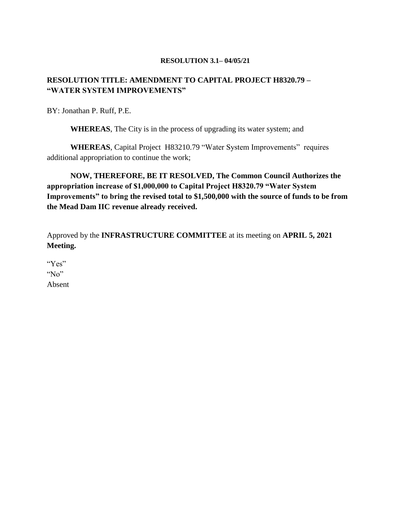### **RESOLUTION 3.1– 04/05/21**

### **RESOLUTION TITLE: AMENDMENT TO CAPITAL PROJECT H8320.79 – "WATER SYSTEM IMPROVEMENTS"**

BY: Jonathan P. Ruff, P.E.

**WHEREAS**, The City is in the process of upgrading its water system; and

**WHEREAS**, Capital Project H83210.79 "Water System Improvements" requires additional appropriation to continue the work;

**NOW, THEREFORE, BE IT RESOLVED, The Common Council Authorizes the appropriation increase of \$1,000,000 to Capital Project H8320.79 "Water System Improvements" to bring the revised total to \$1,500,000 with the source of funds to be from the Mead Dam IIC revenue already received.**

Approved by the **INFRASTRUCTURE COMMITTEE** at its meeting on **APRIL 5, 2021 Meeting.**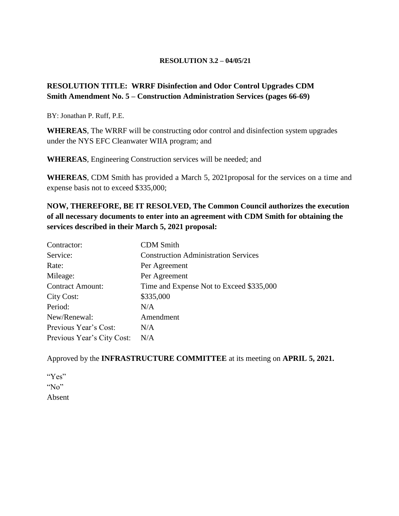### **RESOLUTION 3.2 – 04/05/21**

# **RESOLUTION TITLE: WRRF Disinfection and Odor Control Upgrades CDM Smith Amendment No. 5 – Construction Administration Services (pages 66-69)**

BY: Jonathan P. Ruff, P.E.

**WHEREAS**, The WRRF will be constructing odor control and disinfection system upgrades under the NYS EFC Cleanwater WIIA program; and

**WHEREAS**, Engineering Construction services will be needed; and

**WHEREAS**, CDM Smith has provided a March 5, 2021proposal for the services on a time and expense basis not to exceed \$335,000;

**NOW, THEREFORE, BE IT RESOLVED, The Common Council authorizes the execution of all necessary documents to enter into an agreement with CDM Smith for obtaining the services described in their March 5, 2021 proposal:**

| Contractor:                | <b>CDM</b> Smith                            |
|----------------------------|---------------------------------------------|
| Service:                   | <b>Construction Administration Services</b> |
| Rate:                      | Per Agreement                               |
| Mileage:                   | Per Agreement                               |
| <b>Contract Amount:</b>    | Time and Expense Not to Exceed \$335,000    |
| City Cost:                 | \$335,000                                   |
| Period:                    | N/A                                         |
| New/Renewal:               | Amendment                                   |
| Previous Year's Cost:      | N/A                                         |
| Previous Year's City Cost: | N/A                                         |

Approved by the **INFRASTRUCTURE COMMITTEE** at its meeting on **APRIL 5, 2021.**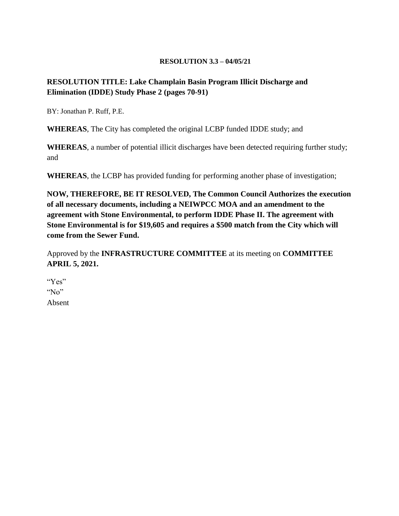#### **RESOLUTION 3.3 – 04/05/21**

### **RESOLUTION TITLE: Lake Champlain Basin Program Illicit Discharge and Elimination (IDDE) Study Phase 2 (pages 70-91)**

BY: Jonathan P. Ruff, P.E.

**WHEREAS**, The City has completed the original LCBP funded IDDE study; and

**WHEREAS**, a number of potential illicit discharges have been detected requiring further study; and

**WHEREAS**, the LCBP has provided funding for performing another phase of investigation;

**NOW, THEREFORE, BE IT RESOLVED, The Common Council Authorizes the execution of all necessary documents, including a NEIWPCC MOA and an amendment to the agreement with Stone Environmental, to perform IDDE Phase II. The agreement with Stone Environmental is for \$19,605 and requires a \$500 match from the City which will come from the Sewer Fund.**

Approved by the **INFRASTRUCTURE COMMITTEE** at its meeting on **COMMITTEE APRIL 5, 2021.**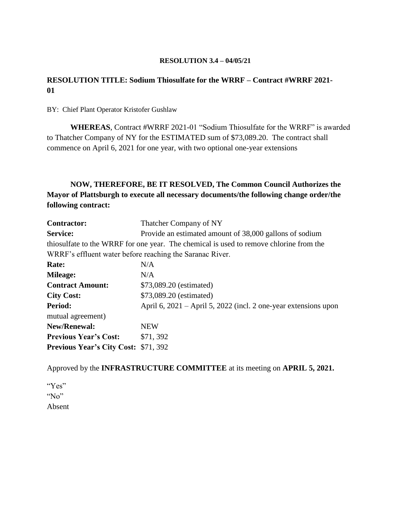### **RESOLUTION 3.4 – 04/05/21**

## **RESOLUTION TITLE: Sodium Thiosulfate for the WRRF – Contract #WRRF 2021- 01**

BY: Chief Plant Operator Kristofer Gushlaw

**WHEREAS**, Contract #WRRF 2021-01 "Sodium Thiosulfate for the WRRF" is awarded to Thatcher Company of NY for the ESTIMATED sum of \$73,089.20. The contract shall commence on April 6, 2021 for one year, with two optional one-year extensions

# **NOW, THEREFORE, BE IT RESOLVED, The Common Council Authorizes the Mayor of Plattsburgh to execute all necessary documents/the following change order/the following contract:**

| <b>Contractor:</b>                                       | Thatcher Company of NY                                                                 |  |  |  |
|----------------------------------------------------------|----------------------------------------------------------------------------------------|--|--|--|
| Service:                                                 | Provide an estimated amount of 38,000 gallons of sodium                                |  |  |  |
|                                                          | thiosulfate to the WRRF for one year. The chemical is used to remove chlorine from the |  |  |  |
| WRRF's effluent water before reaching the Saranac River. |                                                                                        |  |  |  |
| Rate:                                                    | N/A                                                                                    |  |  |  |
| <b>Mileage:</b>                                          | N/A                                                                                    |  |  |  |
| <b>Contract Amount:</b>                                  | \$73,089.20 (estimated)                                                                |  |  |  |
| <b>City Cost:</b>                                        | \$73,089.20 (estimated)                                                                |  |  |  |
| Period:                                                  | April 6, $2021$ – April 5, 2022 (incl. 2 one-year extensions upon                      |  |  |  |
| mutual agreement)                                        |                                                                                        |  |  |  |
| New/Renewal:                                             | <b>NEW</b>                                                                             |  |  |  |
| <b>Previous Year's Cost:</b>                             | \$71,392                                                                               |  |  |  |
| <b>Previous Year's City Cost: \$71, 392</b>              |                                                                                        |  |  |  |

Approved by the **INFRASTRUCTURE COMMITTEE** at its meeting on **APRIL 5, 2021.**